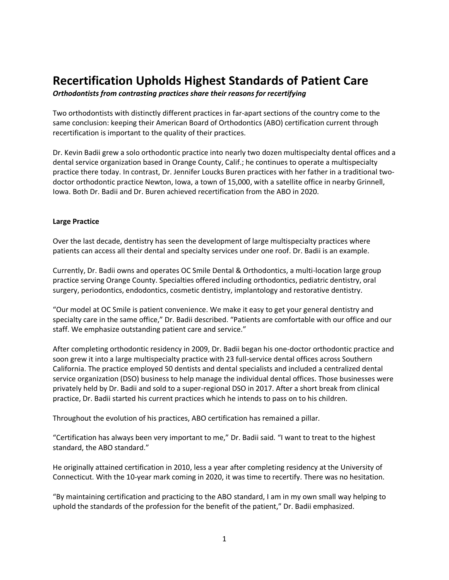# **Recertification Upholds Highest Standards of Patient Care**

*Orthodontists from contrasting practices share their reasons for recertifying*

Two orthodontists with distinctly different practices in far-apart sections of the country come to the same conclusion: keeping their American Board of Orthodontics (ABO) certification current through recertification is important to the quality of their practices.

Dr. Kevin Badii grew a solo orthodontic practice into nearly two dozen multispecialty dental offices and a dental service organization based in Orange County, Calif.; he continues to operate a multispecialty practice there today. In contrast, Dr. Jennifer Loucks Buren practices with her father in a traditional twodoctor orthodontic practice Newton, Iowa, a town of 15,000, with a satellite office in nearby Grinnell, Iowa. Both Dr. Badii and Dr. Buren achieved recertification from the ABO in 2020.

## **Large Practice**

Over the last decade, dentistry has seen the development of large multispecialty practices where patients can access all their dental and specialty services under one roof. Dr. Badii is an example.

Currently, Dr. Badii owns and operates OC Smile Dental & Orthodontics, a multi-location large group practice serving Orange County. Specialties offered including orthodontics, pediatric dentistry, oral surgery, periodontics, endodontics, cosmetic dentistry, implantology and restorative dentistry.

"Our model at OC Smile is patient convenience. We make it easy to get your general dentistry and specialty care in the same office," Dr. Badii described. "Patients are comfortable with our office and our staff. We emphasize outstanding patient care and service."

After completing orthodontic residency in 2009, Dr. Badii began his one-doctor orthodontic practice and soon grew it into a large multispecialty practice with 23 full-service dental offices across Southern California. The practice employed 50 dentists and dental specialists and included a centralized dental service organization (DSO) business to help manage the individual dental offices. Those businesses were privately held by Dr. Badii and sold to a super-regional DSO in 2017. After a short break from clinical practice, Dr. Badii started his current practices which he intends to pass on to his children.

Throughout the evolution of his practices, ABO certification has remained a pillar.

"Certification has always been very important to me," Dr. Badii said. "I want to treat to the highest standard, the ABO standard."

He originally attained certification in 2010, less a year after completing residency at the University of Connecticut. With the 10-year mark coming in 2020, it was time to recertify. There was no hesitation.

"By maintaining certification and practicing to the ABO standard, I am in my own small way helping to uphold the standards of the profession for the benefit of the patient," Dr. Badii emphasized.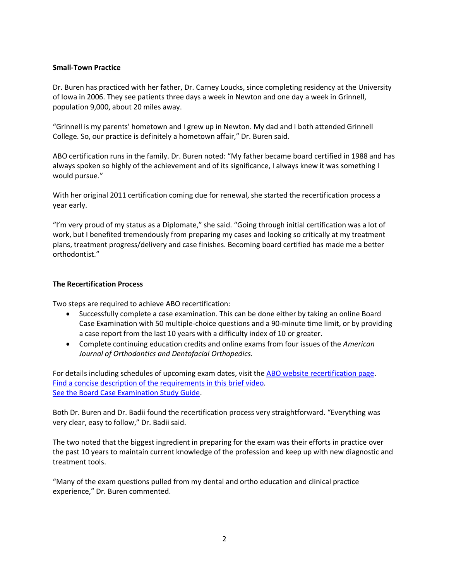## **Small-Town Practice**

Dr. Buren has practiced with her father, Dr. Carney Loucks, since completing residency at the University of Iowa in 2006. They see patients three days a week in Newton and one day a week in Grinnell, population 9,000, about 20 miles away.

"Grinnell is my parents' hometown and I grew up in Newton. My dad and I both attended Grinnell College. So, our practice is definitely a hometown affair," Dr. Buren said.

ABO certification runs in the family. Dr. Buren noted: "My father became board certified in 1988 and has always spoken so highly of the achievement and of its significance, I always knew it was something I would pursue."

With her original 2011 certification coming due for renewal, she started the recertification process a year early.

"I'm very proud of my status as a Diplomate," she said. "Going through initial certification was a lot of work, but I benefited tremendously from preparing my cases and looking so critically at my treatment plans, treatment progress/delivery and case finishes. Becoming board certified has made me a better orthodontist."

#### **The Recertification Process**

Two steps are required to achieve ABO recertification:

- Successfully complete a case examination. This can be done either by taking an online Board Case Examination with 50 multiple-choice questions and a 90-minute time limit, or by providing a case report from the last 10 years with a difficulty index of 10 or greater.
- Complete continuing education credits and online exams from four issues of the *American Journal of Orthodontics and Dentofacial Orthopedics.*

For details including schedules of upcoming exam dates, visit th[e ABO website recertification page.](https://americanboardortho.com/orthodontic-professionals/about-board-certification/clinical-examination/certification-renewal-examinations/) [Find a concise description of the requirements in this brief video.](https://www.youtube.com/watch?time_continue=4&v=wDL109ZobqY&feature=emb_logo) [See the Board Case Examination Study Guide.](https://americanboardortho.com/media/5272/board-case-examination-studyguide.pdf)

Both Dr. Buren and Dr. Badii found the recertification process very straightforward. "Everything was very clear, easy to follow," Dr. Badii said.

The two noted that the biggest ingredient in preparing for the exam was their efforts in practice over the past 10 years to maintain current knowledge of the profession and keep up with new diagnostic and treatment tools.

"Many of the exam questions pulled from my dental and ortho education and clinical practice experience," Dr. Buren commented.